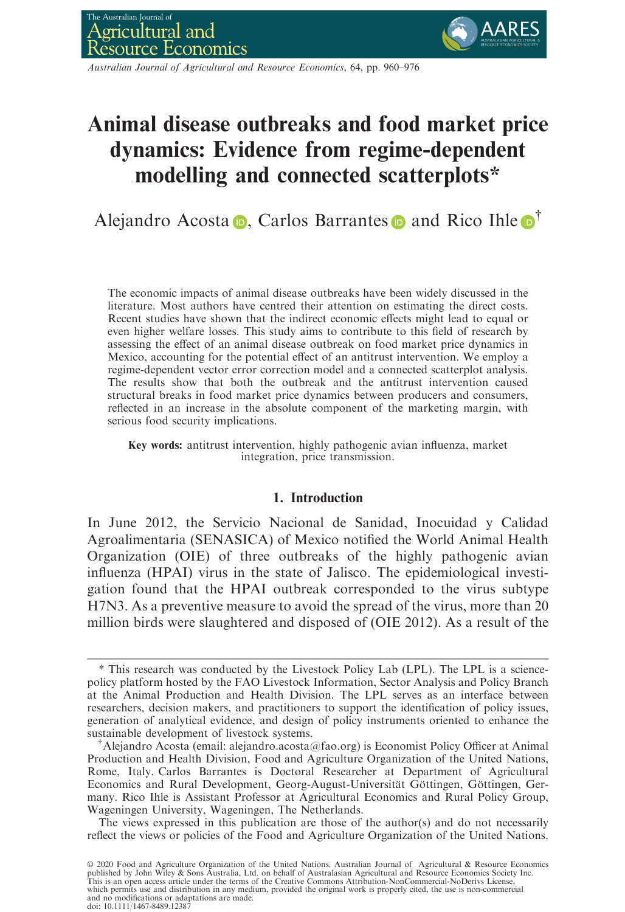

Australian Journal of Agricultural and Resource Economics, 64, pp. 960–976

# Animal disease outbreaks and food market price dynamics: Evidence from regime-dependent modelling and connected scatterplots\*

Alej[a](https://orcid.org/0000-0002-0546-0546)ndro Acosta  $\bullet$ , Carlos Barrantes  $\bullet$  and Rico Ihle  $\bullet^{\dagger}$ 

The economic impacts of animal disease outbreaks have been widely discussed in the literature. Most authors have centred their attention on estimating the direct costs. Recent studies have shown that the indirect economic effects might lead to equal or even higher welfare losses. This study aims to contribute to this field of research by assessing the effect of an animal disease outbreak on food market price dynamics in Mexico, accounting for the potential effect of an antitrust intervention. We employ a regime-dependent vector error correction model and a connected scatterplot analysis. The results show that both the outbreak and the antitrust intervention caused structural breaks in food market price dynamics between producers and consumers, reflected in an increase in the absolute component of the marketing margin, with serious food security implications.

Key words: antitrust intervention, highly pathogenic avian influenza, market integration, price transmission.

# 1. Introduction

In June 2012, the Servicio Nacional de Sanidad, Inocuidad y Calidad Agroalimentaria (SENASICA) of Mexico notified the World Animal Health Organization (OIE) of three outbreaks of the highly pathogenic avian influenza (HPAI) virus in the state of Jalisco. The epidemiological investigation found that the HPAI outbreak corresponded to the virus subtype H7N3. As a preventive measure to avoid the spread of the virus, more than 20 million birds were slaughtered and disposed of (OIE 2012). As a result of the

The views expressed in this publication are those of the author(s) and do not necessarily reflect the views or policies of the Food and Agriculture Organization of the United Nations.

© 2020 Food and Agriculture Organization of the United Nations. Australian Journal of Agricultural & Resource Economics<br>published by John Wiley & Sons Australia, Ltd. on behalf of Australasian Agricultural and Resource Eco which permits use and distribution in any medium, provided the original work is properly cited, the use is non-commercial and no modifications or adaptations are made. doi: 10.1111/1467-8489.12387

<sup>\*</sup> This research was conducted by the Livestock Policy Lab (LPL). The LPL is a sciencepolicy platform hosted by the FAO Livestock Information, Sector Analysis and Policy Branch at the Animal Production and Health Division. The LPL serves as an interface between researchers, decision makers, and practitioners to support the identification of policy issues, generation of analytical evidence, and design of policy instruments oriented to enhance the sustainable development of livestock systems. †

<sup>&</sup>lt;sup>†</sup> Alejandro Acosta (email: alejandro.acosta@fao.org) is Economist Policy Officer at Animal Production and Health Division, Food and Agriculture Organization of the United Nations, Rome, Italy. Carlos Barrantes is Doctoral Researcher at Department of Agricultural Economics and Rural Development, Georg-August-Universität Göttingen, Göttingen, Germany. Rico Ihle is Assistant Professor at Agricultural Economics and Rural Policy Group, Wageningen University, Wageningen, The Netherlands.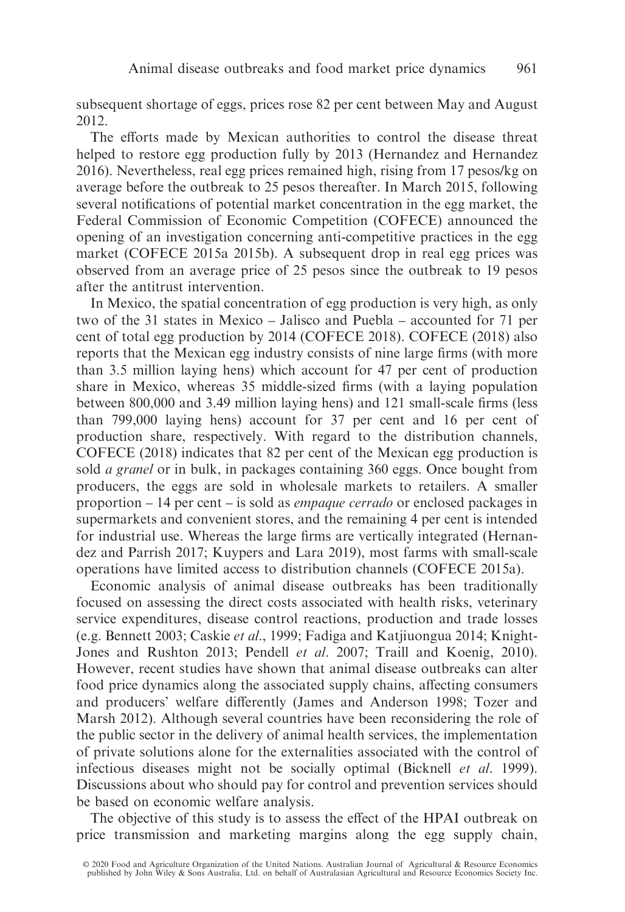subsequent shortage of eggs, prices rose 82 per cent between May and August 2012.

The efforts made by Mexican authorities to control the disease threat helped to restore egg production fully by 2013 (Hernandez and Hernandez 2016). Nevertheless, real egg prices remained high, rising from 17 pesos/kg on average before the outbreak to 25 pesos thereafter. In March 2015, following several notifications of potential market concentration in the egg market, the Federal Commission of Economic Competition (COFECE) announced the opening of an investigation concerning anti-competitive practices in the egg market (COFECE 2015a 2015b). A subsequent drop in real egg prices was observed from an average price of 25 pesos since the outbreak to 19 pesos after the antitrust intervention.

In Mexico, the spatial concentration of egg production is very high, as only two of the 31 states in Mexico – Jalisco and Puebla – accounted for 71 per cent of total egg production by 2014 (COFECE 2018). COFECE (2018) also reports that the Mexican egg industry consists of nine large firms (with more than 3.5 million laying hens) which account for 47 per cent of production share in Mexico, whereas 35 middle-sized firms (with a laying population between 800,000 and 3.49 million laying hens) and 121 small-scale firms (less than 799,000 laying hens) account for 37 per cent and 16 per cent of production share, respectively. With regard to the distribution channels, COFECE (2018) indicates that 82 per cent of the Mexican egg production is sold a granel or in bulk, in packages containing 360 eggs. Once bought from producers, the eggs are sold in wholesale markets to retailers. A smaller proportion – 14 per cent – is sold as empaque cerrado or enclosed packages in supermarkets and convenient stores, and the remaining 4 per cent is intended for industrial use. Whereas the large firms are vertically integrated (Hernandez and Parrish 2017; Kuypers and Lara 2019), most farms with small-scale operations have limited access to distribution channels (COFECE 2015a).

Economic analysis of animal disease outbreaks has been traditionally focused on assessing the direct costs associated with health risks, veterinary service expenditures, disease control reactions, production and trade losses (e.g. Bennett 2003; Caskie et al., 1999; Fadiga and Katjiuongua 2014; Knight-Jones and Rushton 2013; Pendell *et al.* 2007; Traill and Koenig, 2010). However, recent studies have shown that animal disease outbreaks can alter food price dynamics along the associated supply chains, affecting consumers and producers' welfare differently (James and Anderson 1998; Tozer and Marsh 2012). Although several countries have been reconsidering the role of the public sector in the delivery of animal health services, the implementation of private solutions alone for the externalities associated with the control of infectious diseases might not be socially optimal (Bicknell et al. 1999). Discussions about who should pay for control and prevention services should be based on economic welfare analysis.

The objective of this study is to assess the effect of the HPAI outbreak on price transmission and marketing margins along the egg supply chain,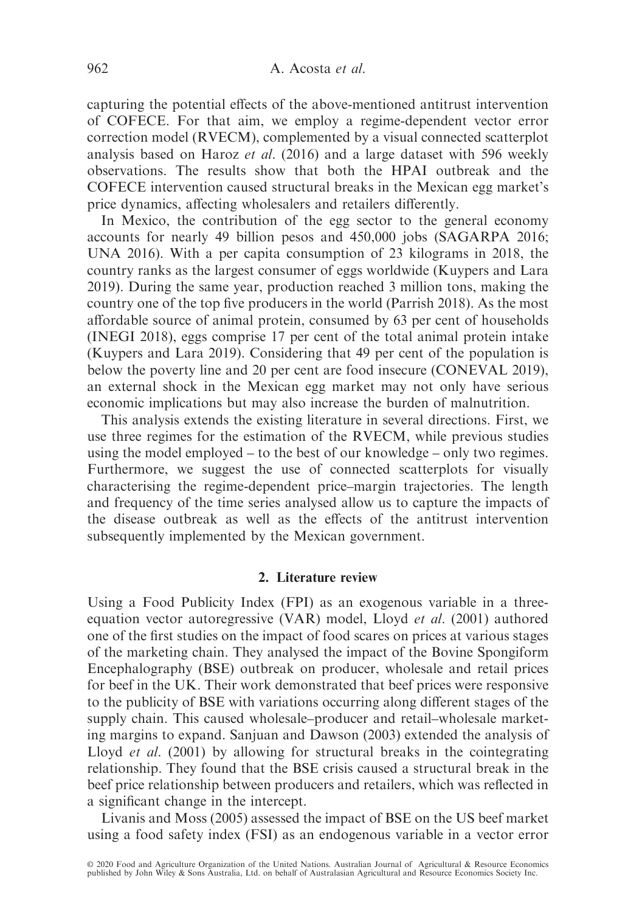capturing the potential effects of the above-mentioned antitrust intervention of COFECE. For that aim, we employ a regime-dependent vector error correction model (RVECM), complemented by a visual connected scatterplot analysis based on Haroz et al. (2016) and a large dataset with 596 weekly observations. The results show that both the HPAI outbreak and the COFECE intervention caused structural breaks in the Mexican egg market's price dynamics, affecting wholesalers and retailers differently.

In Mexico, the contribution of the egg sector to the general economy accounts for nearly 49 billion pesos and 450,000 jobs (SAGARPA 2016; UNA 2016). With a per capita consumption of 23 kilograms in 2018, the country ranks as the largest consumer of eggs worldwide (Kuypers and Lara 2019). During the same year, production reached 3 million tons, making the country one of the top five producers in the world (Parrish 2018). As the most affordable source of animal protein, consumed by 63 per cent of households (INEGI 2018), eggs comprise 17 per cent of the total animal protein intake (Kuypers and Lara 2019). Considering that 49 per cent of the population is below the poverty line and 20 per cent are food insecure (CONEVAL 2019), an external shock in the Mexican egg market may not only have serious economic implications but may also increase the burden of malnutrition.

This analysis extends the existing literature in several directions. First, we use three regimes for the estimation of the RVECM, while previous studies using the model employed – to the best of our knowledge – only two regimes. Furthermore, we suggest the use of connected scatterplots for visually characterising the regime-dependent price–margin trajectories. The length and frequency of the time series analysed allow us to capture the impacts of the disease outbreak as well as the effects of the antitrust intervention subsequently implemented by the Mexican government.

## 2. Literature review

Using a Food Publicity Index (FPI) as an exogenous variable in a threeequation vector autoregressive (VAR) model, Lloyd et al. (2001) authored one of the first studies on the impact of food scares on prices at various stages of the marketing chain. They analysed the impact of the Bovine Spongiform Encephalography (BSE) outbreak on producer, wholesale and retail prices for beef in the UK. Their work demonstrated that beef prices were responsive to the publicity of BSE with variations occurring along different stages of the supply chain. This caused wholesale–producer and retail–wholesale marketing margins to expand. Sanjuan and Dawson (2003) extended the analysis of Lloyd et al. (2001) by allowing for structural breaks in the cointegrating relationship. They found that the BSE crisis caused a structural break in the beef price relationship between producers and retailers, which was reflected in a significant change in the intercept.

Livanis and Moss (2005) assessed the impact of BSE on the US beef market using a food safety index (FSI) as an endogenous variable in a vector error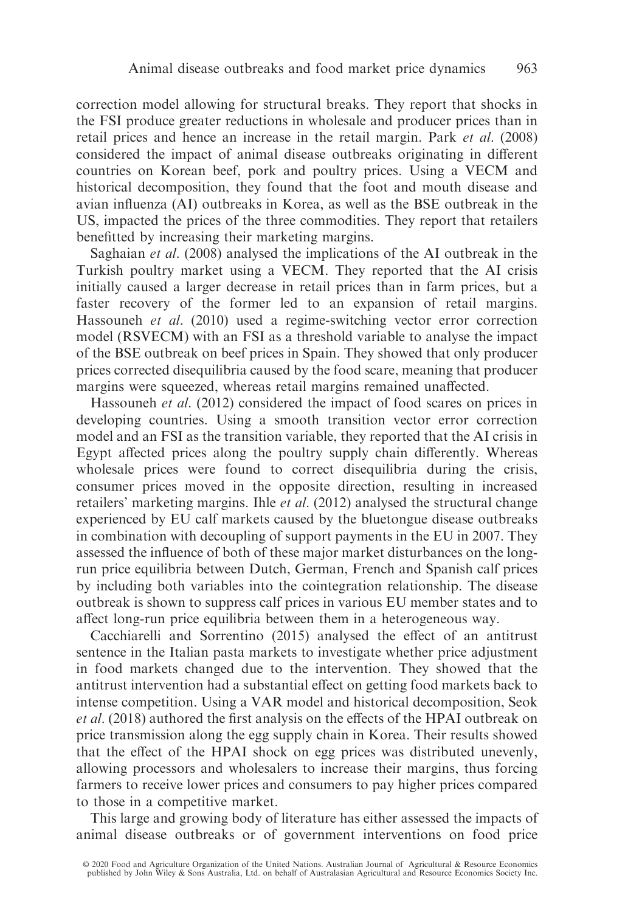correction model allowing for structural breaks. They report that shocks in the FSI produce greater reductions in wholesale and producer prices than in retail prices and hence an increase in the retail margin. Park et al. (2008) considered the impact of animal disease outbreaks originating in different countries on Korean beef, pork and poultry prices. Using a VECM and historical decomposition, they found that the foot and mouth disease and avian influenza (AI) outbreaks in Korea, as well as the BSE outbreak in the US, impacted the prices of the three commodities. They report that retailers benefitted by increasing their marketing margins.

Saghaian et al. (2008) analysed the implications of the AI outbreak in the Turkish poultry market using a VECM. They reported that the AI crisis initially caused a larger decrease in retail prices than in farm prices, but a faster recovery of the former led to an expansion of retail margins. Hassouneh et al. (2010) used a regime-switching vector error correction model (RSVECM) with an FSI as a threshold variable to analyse the impact of the BSE outbreak on beef prices in Spain. They showed that only producer prices corrected disequilibria caused by the food scare, meaning that producer margins were squeezed, whereas retail margins remained unaffected.

Hassouneh *et al.* (2012) considered the impact of food scares on prices in developing countries. Using a smooth transition vector error correction model and an FSI as the transition variable, they reported that the AI crisis in Egypt affected prices along the poultry supply chain differently. Whereas wholesale prices were found to correct disequilibria during the crisis, consumer prices moved in the opposite direction, resulting in increased retailers' marketing margins. Ihle et al. (2012) analysed the structural change experienced by EU calf markets caused by the bluetongue disease outbreaks in combination with decoupling of support payments in the EU in 2007. They assessed the influence of both of these major market disturbances on the longrun price equilibria between Dutch, German, French and Spanish calf prices by including both variables into the cointegration relationship. The disease outbreak is shown to suppress calf prices in various EU member states and to affect long-run price equilibria between them in a heterogeneous way.

Cacchiarelli and Sorrentino (2015) analysed the effect of an antitrust sentence in the Italian pasta markets to investigate whether price adjustment in food markets changed due to the intervention. They showed that the antitrust intervention had a substantial effect on getting food markets back to intense competition. Using a VAR model and historical decomposition, Seok et al. (2018) authored the first analysis on the effects of the HPAI outbreak on price transmission along the egg supply chain in Korea. Their results showed that the effect of the HPAI shock on egg prices was distributed unevenly, allowing processors and wholesalers to increase their margins, thus forcing farmers to receive lower prices and consumers to pay higher prices compared to those in a competitive market.

This large and growing body of literature has either assessed the impacts of animal disease outbreaks or of government interventions on food price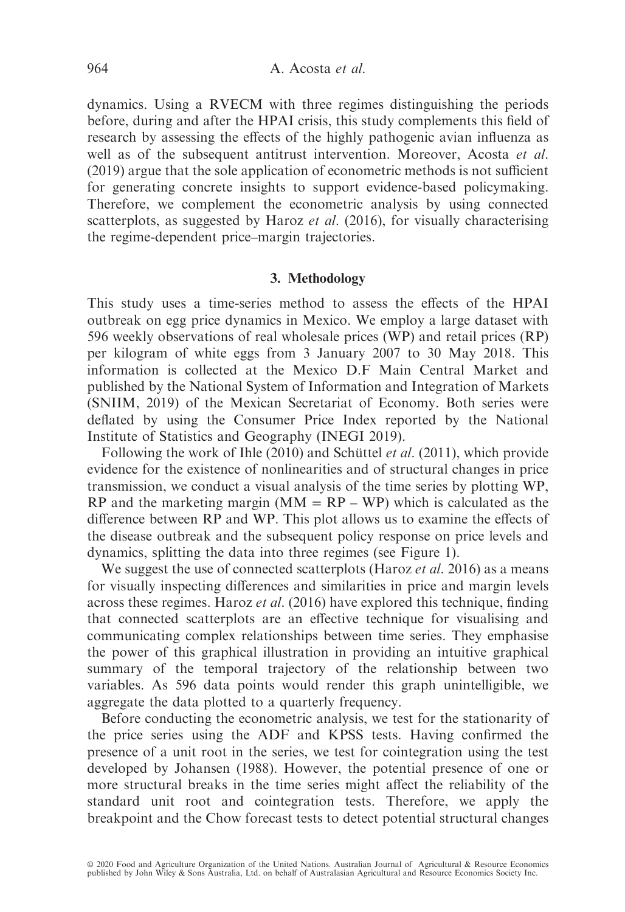dynamics. Using a RVECM with three regimes distinguishing the periods before, during and after the HPAI crisis, this study complements this field of research by assessing the effects of the highly pathogenic avian influenza as well as of the subsequent antitrust intervention. Moreover, Acosta et al. (2019) argue that the sole application of econometric methods is not sufficient for generating concrete insights to support evidence-based policymaking. Therefore, we complement the econometric analysis by using connected scatterplots, as suggested by Haroz et al. (2016), for visually characterising the regime-dependent price–margin trajectories.

# 3. Methodology

This study uses a time-series method to assess the effects of the HPAI outbreak on egg price dynamics in Mexico. We employ a large dataset with 596 weekly observations of real wholesale prices (WP) and retail prices (RP) per kilogram of white eggs from 3 January 2007 to 30 May 2018. This information is collected at the Mexico D.F Main Central Market and published by the National System of Information and Integration of Markets (SNIIM, 2019) of the Mexican Secretariat of Economy. Both series were deflated by using the Consumer Price Index reported by the National Institute of Statistics and Geography (INEGI 2019).

Following the work of Ihle (2010) and Schüttel *et al.* (2011), which provide evidence for the existence of nonlinearities and of structural changes in price transmission, we conduct a visual analysis of the time series by plotting WP, RP and the marketing margin  $(MM = RP - WP)$  which is calculated as the difference between RP and WP. This plot allows us to examine the effects of the disease outbreak and the subsequent policy response on price levels and dynamics, splitting the data into three regimes (see Figure 1).

We suggest the use of connected scatterplots (Haroz *et al.* 2016) as a means for visually inspecting differences and similarities in price and margin levels across these regimes. Haroz et al. (2016) have explored this technique, finding that connected scatterplots are an effective technique for visualising and communicating complex relationships between time series. They emphasise the power of this graphical illustration in providing an intuitive graphical summary of the temporal trajectory of the relationship between two variables. As 596 data points would render this graph unintelligible, we aggregate the data plotted to a quarterly frequency.

Before conducting the econometric analysis, we test for the stationarity of the price series using the ADF and KPSS tests. Having confirmed the presence of a unit root in the series, we test for cointegration using the test developed by Johansen (1988). However, the potential presence of one or more structural breaks in the time series might affect the reliability of the standard unit root and cointegration tests. Therefore, we apply the breakpoint and the Chow forecast tests to detect potential structural changes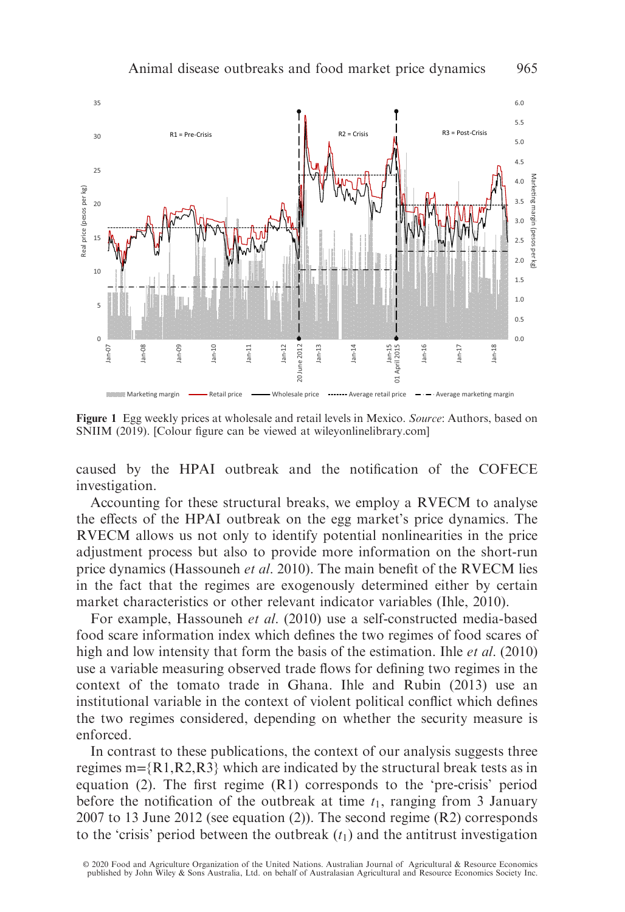

Figure 1 Egg weekly prices at wholesale and retail levels in Mexico. Source: Authors, based on SNIIM (2019). [Colour figure can be viewed at [wileyonlinelibrary.com\]](www.wileyonlinelibrary.com)

caused by the HPAI outbreak and the notification of the COFECE investigation.

Accounting for these structural breaks, we employ a RVECM to analyse the effects of the HPAI outbreak on the egg market's price dynamics. The RVECM allows us not only to identify potential nonlinearities in the price adjustment process but also to provide more information on the short-run price dynamics (Hassouneh et al. 2010). The main benefit of the RVECM lies in the fact that the regimes are exogenously determined either by certain market characteristics or other relevant indicator variables (Ihle, 2010).

For example, Hassouneh et al. (2010) use a self-constructed media-based food scare information index which defines the two regimes of food scares of high and low intensity that form the basis of the estimation. Ihle *et al.* (2010) use a variable measuring observed trade flows for defining two regimes in the context of the tomato trade in Ghana. Ihle and Rubin (2013) use an institutional variable in the context of violent political conflict which defines the two regimes considered, depending on whether the security measure is enforced.

In contrast to these publications, the context of our analysis suggests three regimes m= ${R1, R2, R3}$  which are indicated by the structural break tests as in equation (2). The first regime (R1) corresponds to the 'pre-crisis' period before the notification of the outbreak at time  $t_1$ , ranging from 3 January 2007 to 13 June 2012 (see equation (2)). The second regime (R2) corresponds to the 'crisis' period between the outbreak  $(t_1)$  and the antitrust investigation

© 2020 Food and Agriculture Organization of the United Nations. Australian Journal of Agricultural & Resource Economics<br>published by John Wiley & Sons Australia, Ltd. on behalf of Australasian Agricultural and Resource Eco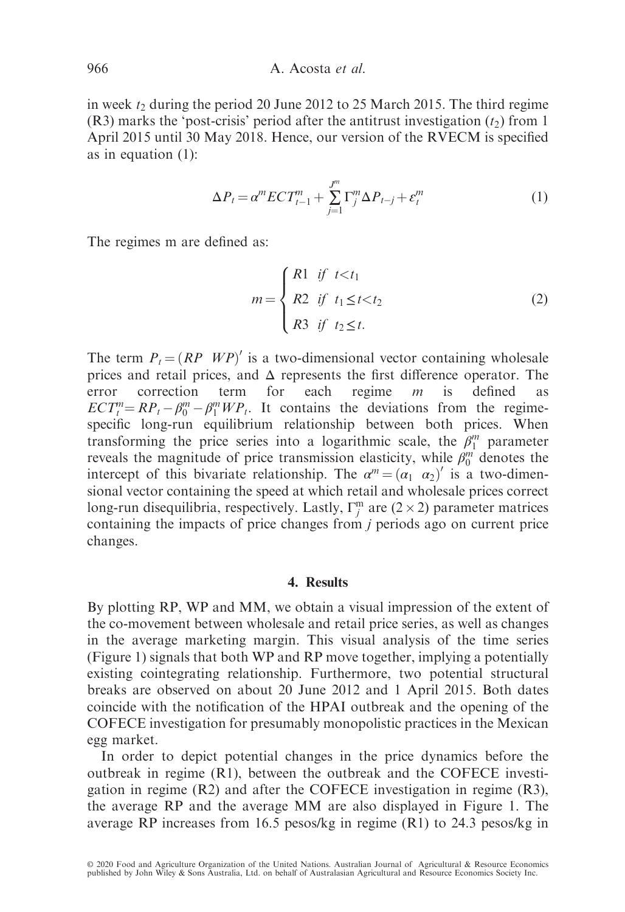in week  $t_2$  during the period 20 June 2012 to 25 March 2015. The third regime (R3) marks the 'post-crisis' period after the antitrust investigation  $(t_2)$  from 1 April 2015 until 30 May 2018. Hence, our version of the RVECM is specified as in equation (1):

$$
\Delta P_t = \alpha^m E C T_{t-1}^m + \sum_{j=1}^{J^m} \Gamma_j^m \Delta P_{t-j} + \varepsilon_t^m \tag{1}
$$

The regimes m are defined as:

$$
m = \begin{cases} R1 & \text{if } t < t_1 \\ R2 & \text{if } t_1 \le t < t_2 \\ R3 & \text{if } t_2 \le t. \end{cases}
$$
 (2)

The term  $P_t = (RP \ W P)'$  is a two-dimensional vector containing wholesale prices and retail prices, and  $\Delta$  represents the first difference operator. The error correction term for each regime  $m$  is defined as error correction term for each regime  $m$  is defined as  $ECT_i^m = RP_t - \beta_0^m - \beta_1^m WP_t$ . It contains the deviations from the regimespecific long-run equilibrium relationship between both prices. When transforming the price series into a logarithmic scale, the  $\beta_1^m$  parameter reveals the magnitude of price transmission elasticity, while  $\beta_0^m$  denotes the intercept of this bivariate relationship. The  $\alpha^m = (\alpha_1 \ \alpha_2)'$  is a two-dimensional vector containing the speed at which retail and wholesale prices correct long-run disequilibria, respectively. Lastly,  $\Gamma_j^m$  are  $(2 \times 2)$  parameter matrices containing the impacts of price changes from j periods ago on current price changes.

#### 4. Results

By plotting RP, WP and MM, we obtain a visual impression of the extent of the co-movement between wholesale and retail price series, as well as changes in the average marketing margin. This visual analysis of the time series (Figure 1) signals that both WP and RP move together, implying a potentially existing cointegrating relationship. Furthermore, two potential structural breaks are observed on about 20 June 2012 and 1 April 2015. Both dates coincide with the notification of the HPAI outbreak and the opening of the COFECE investigation for presumably monopolistic practices in the Mexican egg market.

In order to depict potential changes in the price dynamics before the outbreak in regime (R1), between the outbreak and the COFECE investigation in regime  $(R2)$  and after the COFECE investigation in regime  $(R3)$ , the average RP and the average MM are also displayed in Figure 1. The average RP increases from 16.5 pesos/kg in regime (R1) to 24.3 pesos/kg in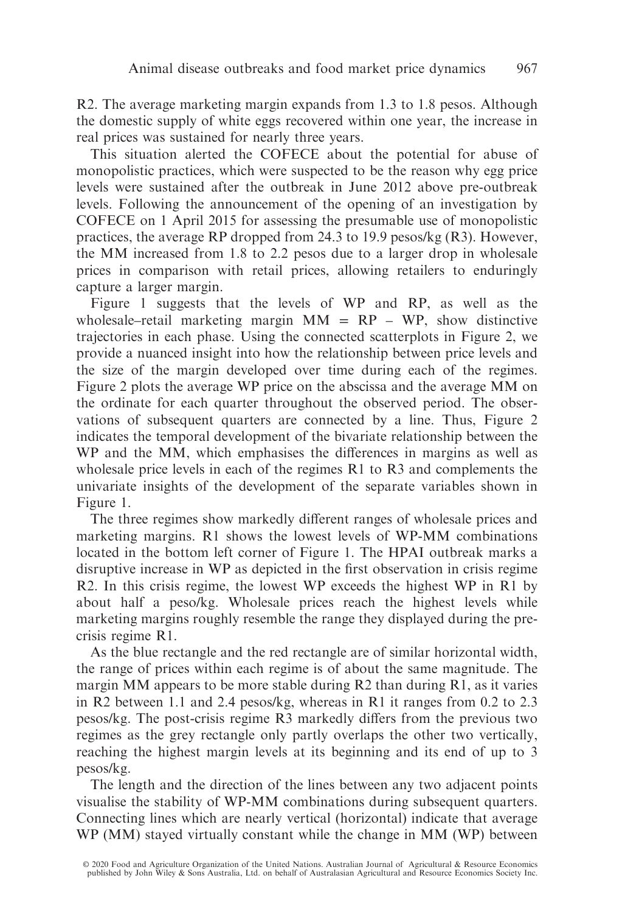R2. The average marketing margin expands from 1.3 to 1.8 pesos. Although the domestic supply of white eggs recovered within one year, the increase in real prices was sustained for nearly three years.

This situation alerted the COFECE about the potential for abuse of monopolistic practices, which were suspected to be the reason why egg price levels were sustained after the outbreak in June 2012 above pre-outbreak levels. Following the announcement of the opening of an investigation by COFECE on 1 April 2015 for assessing the presumable use of monopolistic practices, the average RP dropped from 24.3 to 19.9 pesos/kg (R3). However, the MM increased from 1.8 to 2.2 pesos due to a larger drop in wholesale prices in comparison with retail prices, allowing retailers to enduringly capture a larger margin.

Figure 1 suggests that the levels of WP and RP, as well as the wholesale–retail marketing margin  $MM = RP - WP$ , show distinctive trajectories in each phase. Using the connected scatterplots in Figure 2, we provide a nuanced insight into how the relationship between price levels and the size of the margin developed over time during each of the regimes. Figure 2 plots the average WP price on the abscissa and the average MM on the ordinate for each quarter throughout the observed period. The observations of subsequent quarters are connected by a line. Thus, Figure 2 indicates the temporal development of the bivariate relationship between the WP and the MM, which emphasises the differences in margins as well as wholesale price levels in each of the regimes R1 to R3 and complements the univariate insights of the development of the separate variables shown in Figure 1.

The three regimes show markedly different ranges of wholesale prices and marketing margins. R1 shows the lowest levels of WP-MM combinations located in the bottom left corner of Figure 1. The HPAI outbreak marks a disruptive increase in WP as depicted in the first observation in crisis regime R2. In this crisis regime, the lowest WP exceeds the highest WP in R1 by about half a peso/kg. Wholesale prices reach the highest levels while marketing margins roughly resemble the range they displayed during the precrisis regime R1.

As the blue rectangle and the red rectangle are of similar horizontal width, the range of prices within each regime is of about the same magnitude. The margin MM appears to be more stable during R2 than during R1, as it varies in R2 between 1.1 and 2.4 pesos/kg, whereas in R1 it ranges from 0.2 to 2.3 pesos/kg. The post-crisis regime R3 markedly differs from the previous two regimes as the grey rectangle only partly overlaps the other two vertically, reaching the highest margin levels at its beginning and its end of up to 3 pesos/kg.

The length and the direction of the lines between any two adjacent points visualise the stability of WP-MM combinations during subsequent quarters. Connecting lines which are nearly vertical (horizontal) indicate that average WP (MM) stayed virtually constant while the change in MM (WP) between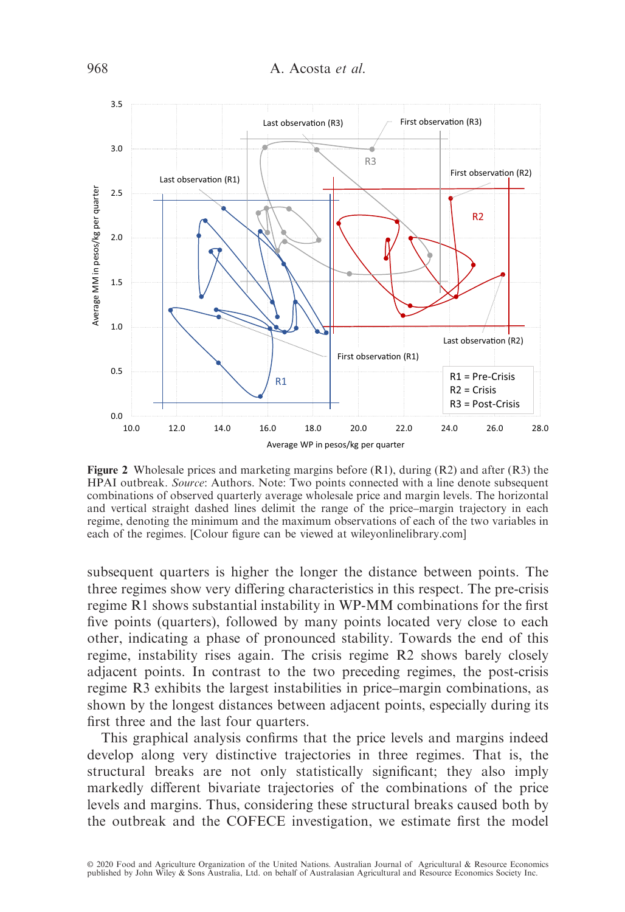

Figure 2 Wholesale prices and marketing margins before  $(R1)$ , during  $(R2)$  and after  $(R3)$  the HPAI outbreak. Source: Authors. Note: Two points connected with a line denote subsequent combinations of observed quarterly average wholesale price and margin levels. The horizontal and vertical straight dashed lines delimit the range of the price–margin trajectory in each regime, denoting the minimum and the maximum observations of each of the two variables in each of the regimes. [Colour figure can be viewed at [wileyonlinelibrary.com](www.wileyonlinelibrary.com)]

subsequent quarters is higher the longer the distance between points. The three regimes show very differing characteristics in this respect. The pre-crisis regime R1 shows substantial instability in WP-MM combinations for the first five points (quarters), followed by many points located very close to each other, indicating a phase of pronounced stability. Towards the end of this regime, instability rises again. The crisis regime R2 shows barely closely adjacent points. In contrast to the two preceding regimes, the post-crisis regime R3 exhibits the largest instabilities in price–margin combinations, as shown by the longest distances between adjacent points, especially during its first three and the last four quarters.

This graphical analysis confirms that the price levels and margins indeed develop along very distinctive trajectories in three regimes. That is, the structural breaks are not only statistically significant; they also imply markedly different bivariate trajectories of the combinations of the price levels and margins. Thus, considering these structural breaks caused both by the outbreak and the COFECE investigation, we estimate first the model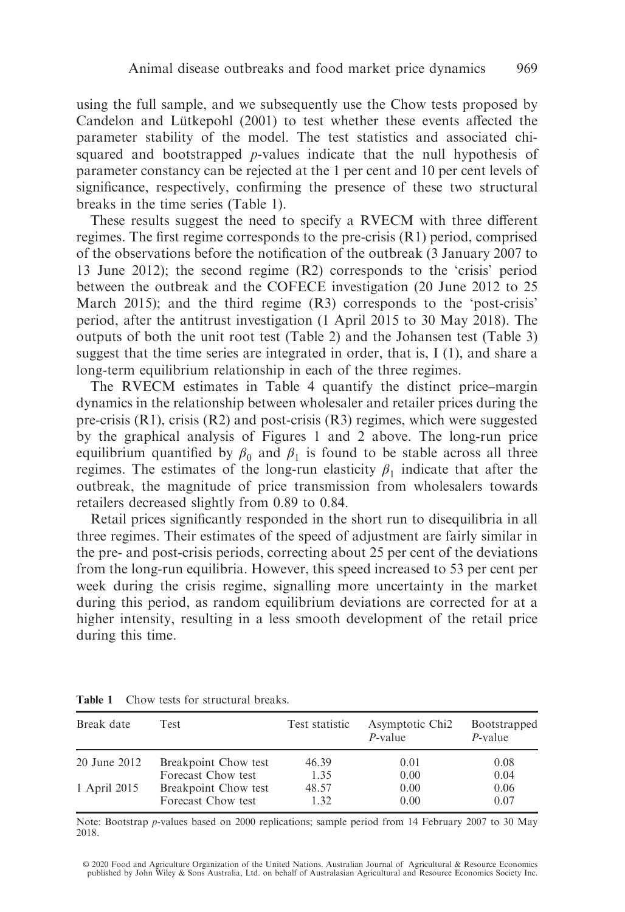using the full sample, and we subsequently use the Chow tests proposed by Candelon and Lütkepohl (2001) to test whether these events affected the parameter stability of the model. The test statistics and associated chisquared and bootstrapped p-values indicate that the null hypothesis of parameter constancy can be rejected at the 1 per cent and 10 per cent levels of significance, respectively, confirming the presence of these two structural breaks in the time series (Table 1).

These results suggest the need to specify a RVECM with three different regimes. The first regime corresponds to the pre-crisis (R1) period, comprised of the observations before the notification of the outbreak (3 January 2007 to 13 June 2012); the second regime (R2) corresponds to the 'crisis' period between the outbreak and the COFECE investigation (20 June 2012 to 25 March 2015); and the third regime  $(R3)$  corresponds to the 'post-crisis' period, after the antitrust investigation (1 April 2015 to 30 May 2018). The outputs of both the unit root test (Table 2) and the Johansen test (Table 3) suggest that the time series are integrated in order, that is, I (1), and share a long-term equilibrium relationship in each of the three regimes.

The RVECM estimates in Table 4 quantify the distinct price–margin dynamics in the relationship between wholesaler and retailer prices during the pre-crisis (R1), crisis (R2) and post-crisis (R3) regimes, which were suggested by the graphical analysis of Figures 1 and 2 above. The long-run price equilibrium quantified by  $\beta_0$  and  $\beta_1$  is found to be stable across all three regimes. The estimates of the long-run elasticity  $\beta_1$  indicate that after the outbreak, the magnitude of price transmission from wholesalers towards retailers decreased slightly from 0.89 to 0.84.

Retail prices significantly responded in the short run to disequilibria in all three regimes. Their estimates of the speed of adjustment are fairly similar in the pre- and post-crisis periods, correcting about 25 per cent of the deviations from the long-run equilibria. However, this speed increased to 53 per cent per week during the crisis regime, signalling more uncertainty in the market during this period, as random equilibrium deviations are corrected for at a higher intensity, resulting in a less smooth development of the retail price during this time.

| Break date   | Test                                       | Test statistic | Asymptotic Chi <sub>2</sub><br>$P$ -value | Bootstrapped<br>$P$ -value |
|--------------|--------------------------------------------|----------------|-------------------------------------------|----------------------------|
| 20 June 2012 | Breakpoint Chow test                       | 46.39          | 0.01                                      | 0.08                       |
|              | Forecast Chow test                         | 1.35           | 0.00                                      | 0.04                       |
| 1 April 2015 | Breakpoint Chow test<br>Forecast Chow test | 48.57<br>1.32  | 0.00<br>0.00                              | 0.06<br>0.07               |

Table 1 Chow tests for structural breaks.

Note: Bootstrap p-values based on 2000 replications; sample period from 14 February 2007 to 30 May 2018.

© 2020 Food and Agriculture Organization of the United Nations. Australian Journal of Agricultural & Resource Economics<br>published by John Wiley & Sons Australia, Ltd. on behalf of Australasian Agricultural and Resource Eco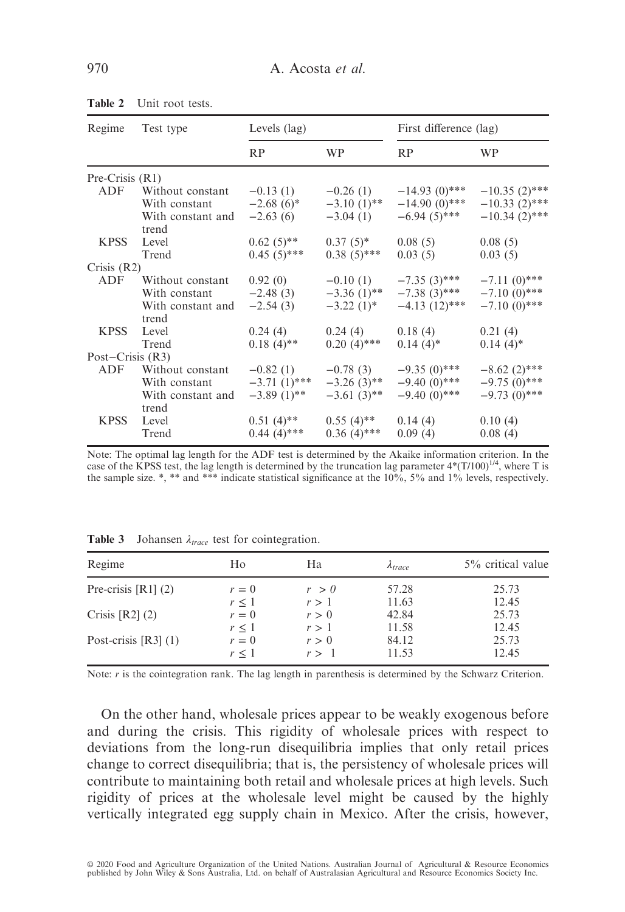| Regime             | Test type         | Levels (lag)   |               | First difference (lag) |                 |  |
|--------------------|-------------------|----------------|---------------|------------------------|-----------------|--|
|                    |                   | R <sub>P</sub> | <b>WP</b>     | RP                     | <b>WP</b>       |  |
| Pre-Crisis $(R1)$  |                   |                |               |                        |                 |  |
| ADF                | Without constant  | $-0.13(1)$     | $-0.26(1)$    | $-14.93(0)$ ***        | $-10.35(2)$ *** |  |
|                    | With constant     | $-2.68(6)^*$   | $-3.10(1)$ ** | $-14.90(0)$ ***        | $-10.33(2)$ *** |  |
|                    | With constant and | $-2.63(6)$     | $-3.04(1)$    | $-6.94(5)$ ***         | $-10.34(2)$ *** |  |
|                    | trend             |                |               |                        |                 |  |
| <b>KPSS</b>        | Level             | $0.62(5)$ **   | $0.37(5)$ *   | 0.08(5)                | 0.08(5)         |  |
|                    | Trend             | $0.45(5)$ ***  | $0.38(5)$ *** | 0.03(5)                | 0.03(5)         |  |
| Crisis $(R2)$      |                   |                |               |                        |                 |  |
| ADF                | Without constant  | 0.92(0)        | $-0.10(1)$    | $-7.35(3)$ ***         | $-7.11(0)$ ***  |  |
|                    | With constant     | $-2.48(3)$     | $-3.36(1)$ ** | $-7.38(3)$ ***         | $-7.10(0)$ ***  |  |
|                    | With constant and | $-2.54(3)$     | $-3.22(1)$ *  | $-4.13(12)$ ***        | $-7.10(0)$ ***  |  |
|                    | trend             |                |               |                        |                 |  |
| <b>KPSS</b>        | Level             | 0.24(4)        | 0.24(4)       | 0.18(4)                | 0.21(4)         |  |
|                    | Trend             | $0.18(4)$ **   | $0.20(4)$ *** | $0.14(4)^*$            | $0.14(4)$ *     |  |
| Post-Crisis $(R3)$ |                   |                |               |                        |                 |  |
| ADF                | Without constant  | $-0.82(1)$     | $-0.78(3)$    | $-9.35(0)$ ***         | $-8.62(2)$ ***  |  |
|                    | With constant     | $-3.71(1)$ *** | $-3.26(3)$ ** | $-9.40(0)$ ***         | $-9.75(0)$ ***  |  |
|                    | With constant and | $-3.89(1)$ **  | $-3.61(3)$ ** | $-9.40(0)$ ***         | $-9.73(0)$ ***  |  |
|                    | trend             |                |               |                        |                 |  |
| <b>KPSS</b>        | Level             | $0.51(4)$ **   | $0.55(4)$ **  | 0.14(4)                | 0.10(4)         |  |
|                    | Trend             | $0.44~(4)$ *** | $0.36(4)$ *** | 0.09(4)                | 0.08(4)         |  |

Table 2 Unit root tests.

Note: The optimal lag length for the ADF test is determined by the Akaike information criterion. In the case of the KPSS test, the lag length is determined by the truncation lag parameter  $4*(T/100)^{1/4}$ , where T is the sample size. \*, \*\* and \*\*\* indicate statistical significance at the  $10\%$ , 5% and  $1\%$  levels, respectively.

| Regime                 | Ho         | Ha    | A <i>trace</i> | 5% critical value |
|------------------------|------------|-------|----------------|-------------------|
| Pre-crisis $[R1]$ (2)  | $r=0$      | r > 0 | 57.28          | 25.73             |
|                        | $r \leq 1$ | r>1   | 11.63          | 12.45             |
| Crisis $[R2]$ $(2)$    | $r=0$      | r > 0 | 42.84          | 25.73             |
|                        | $r \leq 1$ | r > 1 | 11.58          | 12.45             |
| Post-crisis $[R3]$ (1) | $r=0$      | r > 0 | 84.12          | 25.73             |
|                        | r<1        | r > 1 | 11.53          | 12.45             |

**Table 3** Johansen  $\lambda_{trace}$  test for cointegration.

Note: r is the cointegration rank. The lag length in parenthesis is determined by the Schwarz Criterion.

On the other hand, wholesale prices appear to be weakly exogenous before and during the crisis. This rigidity of wholesale prices with respect to deviations from the long-run disequilibria implies that only retail prices change to correct disequilibria; that is, the persistency of wholesale prices will contribute to maintaining both retail and wholesale prices at high levels. Such rigidity of prices at the wholesale level might be caused by the highly vertically integrated egg supply chain in Mexico. After the crisis, however,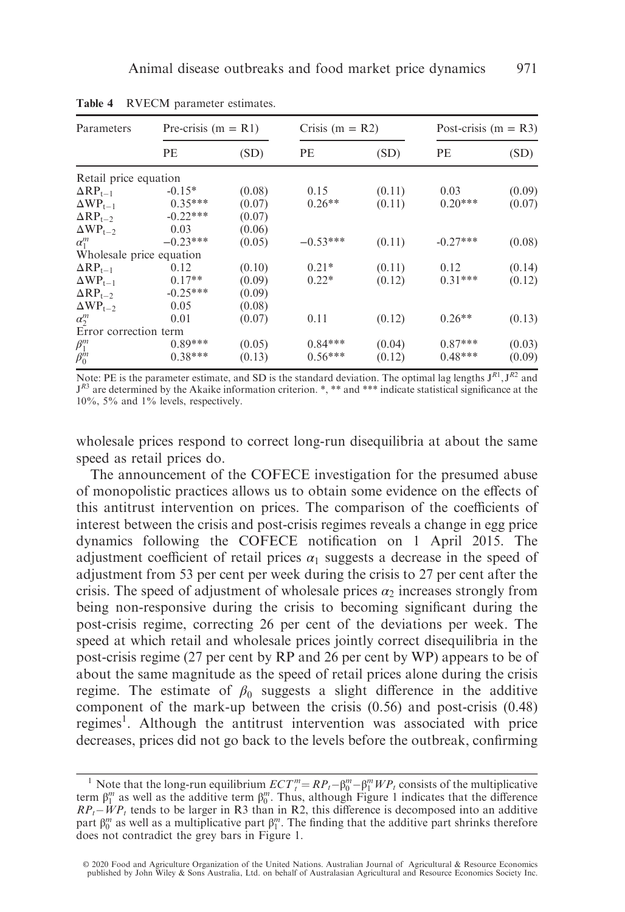| Parameters               | Pre-crisis $(m = R1)$ |        | Crisis $(m = R2)$ |        | Post-crisis $(m = R3)$ |        |
|--------------------------|-----------------------|--------|-------------------|--------|------------------------|--------|
|                          | PE                    | (SD)   | PE                | (SD)   | PE                     | (SD)   |
| Retail price equation    |                       |        |                   |        |                        |        |
| $\Delta RP_{t-1}$        | $-0.15*$              | (0.08) | 0.15              | (0.11) | 0.03                   | (0.09) |
| $\Delta WP_{t-1}$        | $0.35***$             | (0.07) | $0.26**$          | (0.11) | $0.20***$              | (0.07) |
| $\Delta RP_{t-2}$        | $-0.22***$            | (0.07) |                   |        |                        |        |
| $\Delta WP_{t-2}$        | 0.03                  | (0.06) |                   |        |                        |        |
| $\alpha_1^m$             | $-0.23***$            | (0.05) | $-0.53***$        | (0.11) | $-0.27***$             | (0.08) |
| Wholesale price equation |                       |        |                   |        |                        |        |
| $\Delta RP_{t-1}$        | 0.12                  | (0.10) | $0.21*$           | (0.11) | 0.12                   | (0.14) |
| $\Delta WP_{t-1}$        | $0.17**$              | (0.09) | $0.22*$           | (0.12) | $0.31***$              | (0.12) |
| $\Delta RP_{t-2}$        | $-0.25***$            | (0.09) |                   |        |                        |        |
| $\Delta WP_{t-2}$        | 0.05                  | (0.08) |                   |        |                        |        |
| $\alpha_2^m$             | 0.01                  | (0.07) | 0.11              | (0.12) | $0.26**$               | (0.13) |
| Error correction term    |                       |        |                   |        |                        |        |
| $\beta_1^m$              | $0.89***$             | (0.05) | $0.84***$         | (0.04) | $0.87***$              | (0.03) |
| $\beta_0^m$              | $0.38***$             | (0.13) | $0.56***$         | (0.12) | $0.48***$              | (0.09) |

Table 4 RVECM parameter estimates.

Note: PE is the parameter estimate, and SD is the standard deviation. The optimal lag lengths  $J^{R1}$ ,  $J^{R2}$  and  $J<sup>R3</sup>$  are determined by the Akaike information criterion. \*, \*\* and \*\*\* indicate statistical significance at the 10%, 5% and 1% levels, respectively.

wholesale prices respond to correct long-run disequilibria at about the same speed as retail prices do.

The announcement of the COFECE investigation for the presumed abuse of monopolistic practices allows us to obtain some evidence on the effects of this antitrust intervention on prices. The comparison of the coefficients of interest between the crisis and post-crisis regimes reveals a change in egg price dynamics following the COFECE notification on 1 April 2015. The adjustment coefficient of retail prices  $\alpha_1$  suggests a decrease in the speed of adjustment from 53 per cent per week during the crisis to 27 per cent after the crisis. The speed of adjustment of wholesale prices  $\alpha_2$  increases strongly from being non-responsive during the crisis to becoming significant during the post-crisis regime, correcting 26 per cent of the deviations per week. The speed at which retail and wholesale prices jointly correct disequilibria in the post-crisis regime (27 per cent by RP and 26 per cent by WP) appears to be of about the same magnitude as the speed of retail prices alone during the crisis regime. The estimate of  $\beta_0$  suggests a slight difference in the additive component of the mark-up between the crisis (0.56) and post-crisis (0.48) regimes<sup>1</sup>. Although the antitrust intervention was associated with price decreases, prices did not go back to the levels before the outbreak, confirming

<sup>&</sup>lt;sup>1</sup> Note that the long-run equilibrium  $ECT_{t}^{m} = RP_{t} - \beta_{0}^{m} - \beta_{1}^{m} WP_{t}$  consists of the multiplicative term  $\beta_1^m$  as well as the additive term  $\beta_0^m$ . Thus, although Figure 1 indicates that the difference  $RP_t-WP_t$  tends to be larger in R3 than in R2, this difference is decomposed into an additive part  $\beta_0^m$  as well as a multiplicative part  $\beta_1^m$ . The finding that the additive part shrinks therefore does not contradict the grey bars in Figure 1.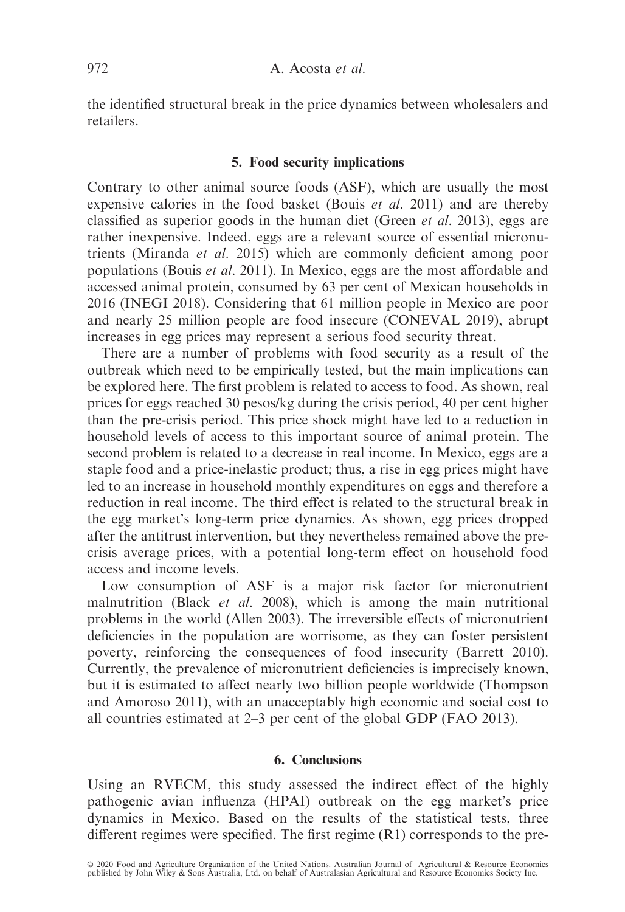the identified structural break in the price dynamics between wholesalers and retailers.

## 5. Food security implications

Contrary to other animal source foods (ASF), which are usually the most expensive calories in the food basket (Bouis et al. 2011) and are thereby classified as superior goods in the human diet (Green *et al.* 2013), eggs are rather inexpensive. Indeed, eggs are a relevant source of essential micronutrients (Miranda et al. 2015) which are commonly deficient among poor populations (Bouis et al. 2011). In Mexico, eggs are the most affordable and accessed animal protein, consumed by 63 per cent of Mexican households in 2016 (INEGI 2018). Considering that 61 million people in Mexico are poor and nearly 25 million people are food insecure (CONEVAL 2019), abrupt increases in egg prices may represent a serious food security threat.

There are a number of problems with food security as a result of the outbreak which need to be empirically tested, but the main implications can be explored here. The first problem is related to access to food. As shown, real prices for eggs reached 30 pesos/kg during the crisis period, 40 per cent higher than the pre-crisis period. This price shock might have led to a reduction in household levels of access to this important source of animal protein. The second problem is related to a decrease in real income. In Mexico, eggs are a staple food and a price-inelastic product; thus, a rise in egg prices might have led to an increase in household monthly expenditures on eggs and therefore a reduction in real income. The third effect is related to the structural break in the egg market's long-term price dynamics. As shown, egg prices dropped after the antitrust intervention, but they nevertheless remained above the precrisis average prices, with a potential long-term effect on household food access and income levels.

Low consumption of ASF is a major risk factor for micronutrient malnutrition (Black et al. 2008), which is among the main nutritional problems in the world (Allen 2003). The irreversible effects of micronutrient deficiencies in the population are worrisome, as they can foster persistent poverty, reinforcing the consequences of food insecurity (Barrett 2010). Currently, the prevalence of micronutrient deficiencies is imprecisely known, but it is estimated to affect nearly two billion people worldwide (Thompson and Amoroso 2011), with an unacceptably high economic and social cost to all countries estimated at 2–3 per cent of the global GDP (FAO 2013).

# 6. Conclusions

Using an RVECM, this study assessed the indirect effect of the highly pathogenic avian influenza (HPAI) outbreak on the egg market's price dynamics in Mexico. Based on the results of the statistical tests, three different regimes were specified. The first regime (R1) corresponds to the pre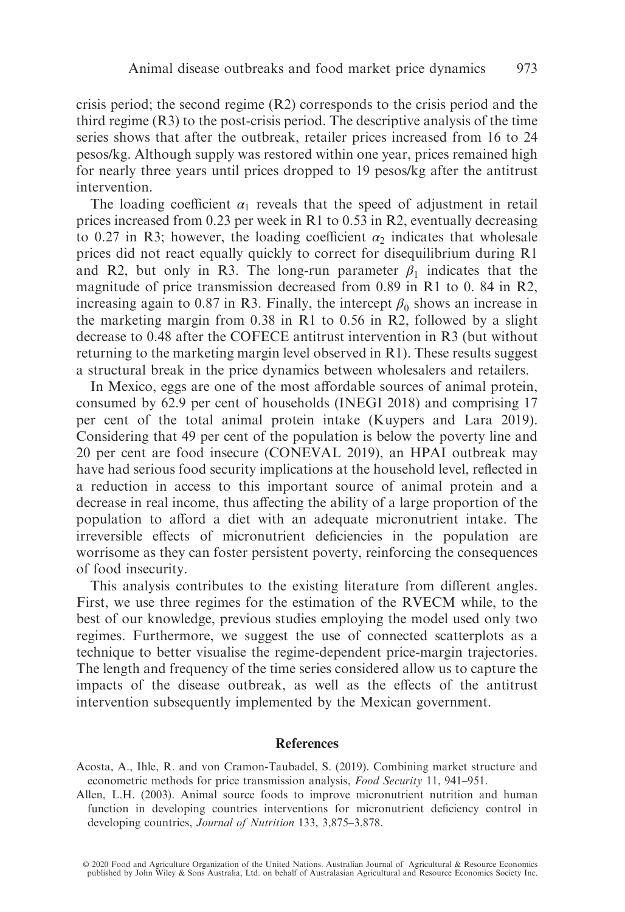crisis period; the second regime  $(R2)$  corresponds to the crisis period and the third regime (R3) to the post-crisis period. The descriptive analysis of the time series shows that after the outbreak, retailer prices increased from 16 to 24 pesos/kg. Although supply was restored within one year, prices remained high for nearly three years until prices dropped to 19 pesos/kg after the antitrust intervention.

The loading coefficient  $\alpha_1$  reveals that the speed of adjustment in retail prices increased from 0.23 per week in R1 to 0.53 in R2, eventually decreasing to 0.27 in R3; however, the loading coefficient  $\alpha_2$  indicates that wholesale prices did not react equally quickly to correct for disequilibrium during R1 and R2, but only in R3. The long-run parameter  $\beta_1$  indicates that the magnitude of price transmission decreased from 0.89 in R1 to 0. 84 in R2, increasing again to 0.87 in R3. Finally, the intercept  $\beta_0$  shows an increase in the marketing margin from 0.38 in R1 to 0.56 in R2, followed by a slight decrease to 0.48 after the COFECE antitrust intervention in R3 (but without returning to the marketing margin level observed in R1). These results suggest a structural break in the price dynamics between wholesalers and retailers.

In Mexico, eggs are one of the most affordable sources of animal protein, consumed by 62.9 per cent of households (INEGI 2018) and comprising 17 per cent of the total animal protein intake (Kuypers and Lara 2019). Considering that 49 per cent of the population is below the poverty line and 20 per cent are food insecure (CONEVAL 2019), an HPAI outbreak may have had serious food security implications at the household level, reflected in a reduction in access to this important source of animal protein and a decrease in real income, thus affecting the ability of a large proportion of the population to afford a diet with an adequate micronutrient intake. The irreversible effects of micronutrient deficiencies in the population are worrisome as they can foster persistent poverty, reinforcing the consequences of food insecurity.

This analysis contributes to the existing literature from different angles. First, we use three regimes for the estimation of the RVECM while, to the best of our knowledge, previous studies employing the model used only two regimes. Furthermore, we suggest the use of connected scatterplots as a technique to better visualise the regime-dependent price-margin trajectories. The length and frequency of the time series considered allow us to capture the impacts of the disease outbreak, as well as the effects of the antitrust intervention subsequently implemented by the Mexican government.

# References

- Acosta, A., Ihle, R. and von Cramon-Taubadel, S. (2019). Combining market structure and econometric methods for price transmission analysis, Food Security 11, 941–951.
- Allen, L.H. (2003). Animal source foods to improve micronutrient nutrition and human function in developing countries interventions for micronutrient deficiency control in developing countries, Journal of Nutrition 133, 3,875–3,878.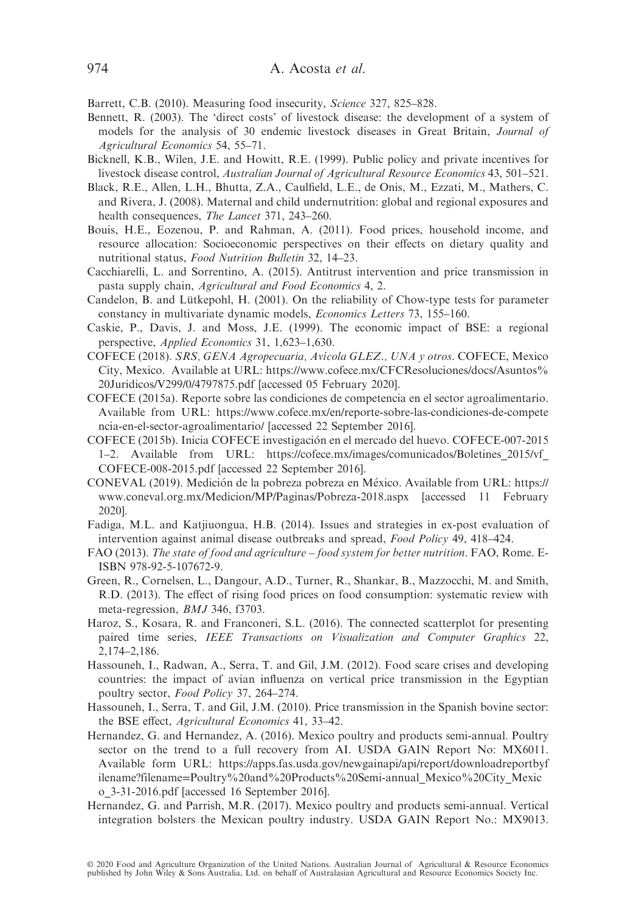Barrett, C.B. (2010). Measuring food insecurity, Science 327, 825–828.

- Bennett, R. (2003). The 'direct costs' of livestock disease: the development of a system of models for the analysis of 30 endemic livestock diseases in Great Britain, Journal of Agricultural Economics 54, 55–71.
- Bicknell, K.B., Wilen, J.E. and Howitt, R.E. (1999). Public policy and private incentives for livestock disease control, Australian Journal of Agricultural Resource Economics 43, 501–521.
- Black, R.E., Allen, L.H., Bhutta, Z.A., Caulfield, L.E., de Onis, M., Ezzati, M., Mathers, C. and Rivera, J. (2008). Maternal and child undernutrition: global and regional exposures and health consequences, The Lancet 371, 243–260.
- Bouis, H.E., Eozenou, P. and Rahman, A. (2011). Food prices, household income, and resource allocation: Socioeconomic perspectives on their effects on dietary quality and nutritional status, Food Nutrition Bulletin 32, 14–23.
- Cacchiarelli, L. and Sorrentino, A. (2015). Antitrust intervention and price transmission in pasta supply chain, Agricultural and Food Economics 4, 2.
- Candelon, B. and Lütkepohl, H. (2001). On the reliability of Chow-type tests for parameter constancy in multivariate dynamic models, Economics Letters 73, 155–160.
- Caskie, P., Davis, J. and Moss, J.E. (1999). The economic impact of BSE: a regional perspective, Applied Economics 31, 1,623–1,630.
- COFECE (2018). SRS, GENA Agropecuaria, Avícola GLEZ., UNA y otros. COFECE, Mexico City, Mexico. Available at URL: https://www.cofece.mx/[CFCResoluciones](https://www.cofece.mx/CFCResoluciones/docs/Asuntos%20Juridicos/V299/0/4797875.pdf)/docs/Asuntos% 20Juridicos/V299/0/[4797875.pdf](https://www.cofece.mx/CFCResoluciones/docs/Asuntos%20Juridicos/V299/0/4797875.pdf) [accessed 05 February 2020].
- COFECE (2015a). Reporte sobre las condiciones de competencia en el sector agroalimentario. Available from URL: https://www.cofece.mx/en/[reporte-sobre-las-condiciones-de-compete](https://www.cofece.mx/en/reporte-sobre-las-condiciones-de-competencia-en-el-sector-agroalimentario/) [ncia-en-el-sector-agroalimentario](https://www.cofece.mx/en/reporte-sobre-las-condiciones-de-competencia-en-el-sector-agroalimentario/)/ [accessed 22 September 2016].
- COFECE (2015b). Inicia COFECE investigacion en el mercado del huevo. COFECE-007-2015 ´ 1–2. Available from URL: https://cofece.mx/images/comunicados/[Boletines\\_2015](https://cofece.mx/images/comunicados/Boletines_2015/vf_COFECE-008-2015.pdf)/vf\_ [COFECE-008-2015.pdf](https://cofece.mx/images/comunicados/Boletines_2015/vf_COFECE-008-2015.pdf) [accessed 22 September 2016].
- CONEVAL (2019). Medición de la pobreza pobreza en México. Available from URL: [https:](https://www.coneval.org.mx/Medicion/MP/Paginas/Pobreza-2018.aspx)// [www.coneval.org.mx](https://www.coneval.org.mx/Medicion/MP/Paginas/Pobreza-2018.aspx)/Medicion/MP/Paginas/Pobreza-2018.aspx [accessed 11 February 2020].
- Fadiga, M.L. and Katjiuongua, H.B. (2014). Issues and strategies in ex-post evaluation of intervention against animal disease outbreaks and spread, Food Policy 49, 418–424.
- FAO (2013). The state of food and agriculture food system for better nutrition. FAO, Rome. E-ISBN 978-92-5-107672-9.
- Green, R., Cornelsen, L., Dangour, A.D., Turner, R., Shankar, B., Mazzocchi, M. and Smith, R.D. (2013). The effect of rising food prices on food consumption: systematic review with meta-regression, BMJ 346, f3703.
- Haroz, S., Kosara, R. and Franconeri, S.L. (2016). The connected scatterplot for presenting paired time series, IEEE Transactions on Visualization and Computer Graphics 22, 2,174–2,186.
- Hassouneh, I., Radwan, A., Serra, T. and Gil, J.M. (2012). Food scare crises and developing countries: the impact of avian influenza on vertical price transmission in the Egyptian poultry sector, Food Policy 37, 264–274.
- Hassouneh, I., Serra, T. and Gil, J.M. (2010). Price transmission in the Spanish bovine sector: the BSE effect, Agricultural Economics 41, 33–42.
- Hernandez, G. and Hernandez, A. (2016). Mexico poultry and products semi-annual. Poultry sector on the trend to a full recovery from AI. USDA GAIN Report No: MX6011. Available form URL: https://apps.fas.usda.gov/newgainapi/api/report/[downloadreportbyf](https://apps.fas.usda.gov/newgainapi/api/report/downloadreportbyfilename?filename=Poultry%20and%20Products%20Semi-annual_Mexico%20City_Mexico_3-31-2016.pdf) ilename?filename=[Poultry%20and%20Products%20Semi-annual\\_Mexico%20City\\_Mexic](https://apps.fas.usda.gov/newgainapi/api/report/downloadreportbyfilename?filename=Poultry%20and%20Products%20Semi-annual_Mexico%20City_Mexico_3-31-2016.pdf) [o\\_3-31-2016.pdf](https://apps.fas.usda.gov/newgainapi/api/report/downloadreportbyfilename?filename=Poultry%20and%20Products%20Semi-annual_Mexico%20City_Mexico_3-31-2016.pdf) [accessed 16 September 2016].
- Hernandez, G. and Parrish, M.R. (2017). Mexico poultry and products semi-annual. Vertical integration bolsters the Mexican poultry industry. USDA GAIN Report No.: MX9013.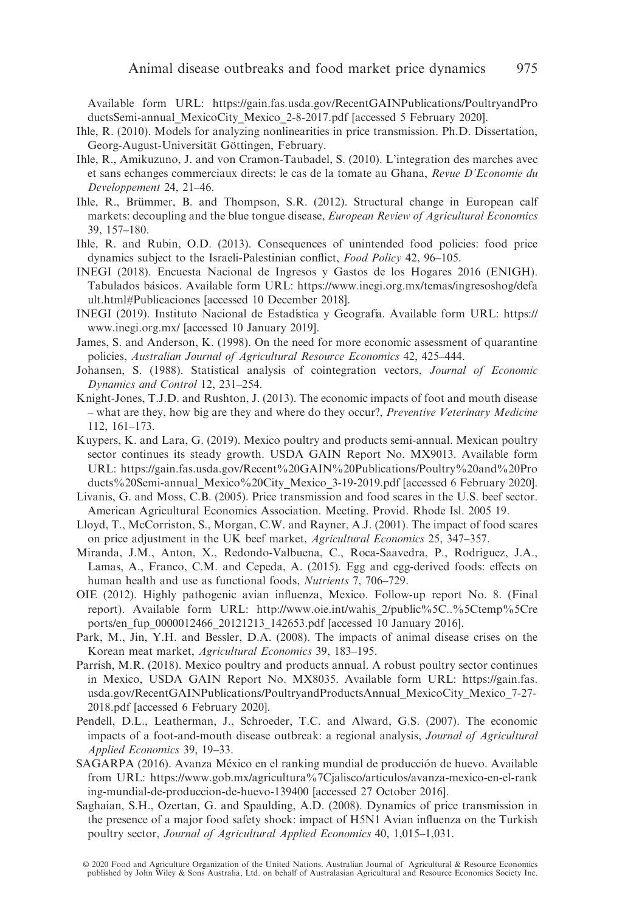Available form URL: https://gain.fas.usda.gov/[RecentGAINPublications](https://gain.fas.usda.gov/RecentGAINPublications/PoultryandProductsSemi-annual_MexicoCity_Mexico_2-8-2017.pdf)/PoultryandPro [ductsSemi-annual\\_MexicoCity\\_Mexico\\_2-8-2017.pdf](https://gain.fas.usda.gov/RecentGAINPublications/PoultryandProductsSemi-annual_MexicoCity_Mexico_2-8-2017.pdf) [accessed 5 February 2020].

- Ihle, R. (2010). Models for analyzing nonlinearities in price transmission. Ph.D. Dissertation, Georg-August-Universität Göttingen, February.
- Ihle, R., Amikuzuno, J. and von Cramon-Taubadel, S. (2010). L'integration des marches avec et sans echanges commerciaux directs: le cas de la tomate au Ghana, Revue D'Economie du Developpement 24, 21–46.
- Ihle, R., Brümmer, B. and Thompson, S.R. (2012). Structural change in European calf markets: decoupling and the blue tongue disease, *European Review of Agricultural Economics* 39, 157–180.
- Ihle, R. and Rubin, O.D. (2013). Consequences of unintended food policies: food price dynamics subject to the Israeli-Palestinian conflict, Food Policy 42, 96–105.
- INEGI (2018). Encuesta Nacional de Ingresos y Gastos de los Hogares 2016 (ENIGH). Tabulados básicos. Available form URL: https://[www.inegi.org.mx](https://www.inegi.org.mx/temas/ingresoshog/default.html#Publicaciones)/temas/ingresoshog/defa [ult.html#Publicaciones](https://www.inegi.org.mx/temas/ingresoshog/default.html#Publicaciones) [accessed 10 December 2018].
- INEGI (2019). Instituto Nacional de Estadística y Geografía. Available form URL: [https:](https://www.inegi.org.mx/)// [www.inegi.org.mx](https://www.inegi.org.mx/)/ [accessed 10 January 2019].
- James, S. and Anderson, K. (1998). On the need for more economic assessment of quarantine policies, Australian Journal of Agricultural Resource Economics 42, 425–444.
- Johansen, S. (1988). Statistical analysis of cointegration vectors, Journal of Economic Dynamics and Control 12, 231–254.
- Knight-Jones, T.J.D. and Rushton, J. (2013). The economic impacts of foot and mouth disease – what are they, how big are they and where do they occur?, *Preventive Veterinary Medicine* 112, 161–173.
- Kuypers, K. and Lara, G. (2019). Mexico poultry and products semi-annual. Mexican poultry sector continues its steady growth. USDA GAIN Report No. MX9013. Available form URL: https://gain.fas.usda.gov/[Recent%20GAIN%20Publications](https://gain.fas.usda.gov/Recent%20GAIN%20Publications/Poultry%20and%20Products%20Semi-annual_Mexico%20City_Mexico_3-19-2019.pdf)/Poultry%20and%20Pro [ducts%20Semi-annual\\_Mexico%20City\\_Mexico\\_3-19-2019.pdf](https://gain.fas.usda.gov/Recent%20GAIN%20Publications/Poultry%20and%20Products%20Semi-annual_Mexico%20City_Mexico_3-19-2019.pdf) [accessed 6 February 2020].
- Livanis, G. and Moss, C.B. (2005). Price transmission and food scares in the U.S. beef sector. American Agricultural Economics Association. Meeting. Provid. Rhode Isl. 2005 19.
- Lloyd, T., McCorriston, S., Morgan, C.W. and Rayner, A.J. (2001). The impact of food scares on price adjustment in the UK beef market, Agricultural Economics 25, 347–357.
- Miranda, J.M., Anton, X., Redondo-Valbuena, C., Roca-Saavedra, P., Rodriguez, J.A., Lamas, A., Franco, C.M. and Cepeda, A. (2015). Egg and egg-derived foods: effects on human health and use as functional foods, Nutrients 7, 706–729.
- OIE (2012). Highly pathogenic avian influenza, Mexico. Follow-up report No. 8. (Final report). Available form URL: http://www.oie.int/wahis\_2/[public%5C..%5Ctemp%5Cre](http://www.oie.int/wahis_2/public%5C..%5Ctemp%5Creports/en_fup_0000012466_20121213_142653.pdf) ports/[en\\_fup\\_0000012466\\_20121213\\_142653.pdf](http://www.oie.int/wahis_2/public%5C..%5Ctemp%5Creports/en_fup_0000012466_20121213_142653.pdf) [accessed 10 January 2016].
- Park, M., Jin, Y.H. and Bessler, D.A. (2008). The impacts of animal disease crises on the Korean meat market, Agricultural Economics 39, 183–195.
- Parrish, M.R. (2018). Mexico poultry and products annual. A robust poultry sector continues in Mexico, USDA GAIN Report No. MX8035. Available form URL: https://[gain.fas.](https://gain.fas.usda.gov/RecentGAINPublications/PoultryandProductsAnnual_MexicoCity_Mexico_7-27-2018.pdf) usda.gov/RecentGAINPublications/[PoultryandProductsAnnual\\_MexicoCity\\_Mexico\\_7-27-](https://gain.fas.usda.gov/RecentGAINPublications/PoultryandProductsAnnual_MexicoCity_Mexico_7-27-2018.pdf) [2018.pdf](https://gain.fas.usda.gov/RecentGAINPublications/PoultryandProductsAnnual_MexicoCity_Mexico_7-27-2018.pdf) [accessed 6 February 2020].
- Pendell, D.L., Leatherman, J., Schroeder, T.C. and Alward, G.S. (2007). The economic impacts of a foot-and-mouth disease outbreak: a regional analysis, Journal of Agricultural Applied Economics 39, 19–33.
- SAGARPA (2016). Avanza México en el ranking mundial de producción de huevo. Available from URL: https://www.gob.mx/agricultura%7Cjalisco/articulos/[avanza-mexico-en-el-rank](https://www.gob.mx/agricultura%7Cjalisco/articulos/avanza-mexico-en-el-ranking-mundial-de-produccion-de-huevo-139400) [ing-mundial-de-produccion-de-huevo-139400](https://www.gob.mx/agricultura%7Cjalisco/articulos/avanza-mexico-en-el-ranking-mundial-de-produccion-de-huevo-139400) [accessed 27 October 2016].
- Saghaian, S.H., Ozertan, G. and Spaulding, A.D. (2008). Dynamics of price transmission in the presence of a major food safety shock: impact of H5N1 Avian influenza on the Turkish poultry sector, Journal of Agricultural Applied Economics 40, 1,015–1,031.